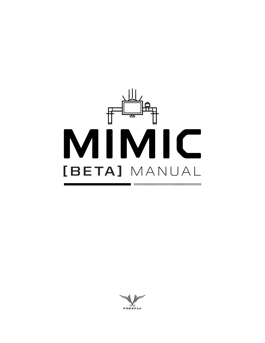

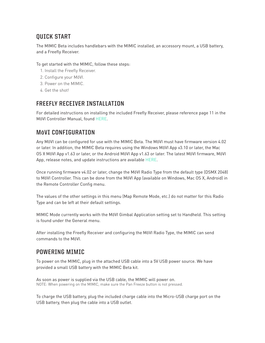## **QUICK START**

The MIMIC Beta includes handlebars with the MIMIC installed, an accessory mount, a USB battery, and a Freefly Receiver.

To get started with the MIMIC, follow these steps:

- 1. Install the Freefly Receiver.
- 2. Configure your MōVI.
- 3. Power on the MIMIC.
- 4. Get the shot!

## **FREEFLY RECEIVER INSTALLATION**

For detailed instructions on installing the included Freefly Receiver, please reference page 11 in the MōVI Controller Manual, found [HERE.](http://freeflysystems.com/software-manuals/)

## **MōVI CONFIGURATION**

Any MōVI can be configured for use with the MIMIC Beta. The MōVI must have firmware version 4.02 or later. In addition, the MIMIC Beta requires using the Windows MōVI App v3.10 or later, the Mac OS X MōVI App v1.63 or later, or the Android MōVI App v1.63 or later. The latest MōVI firmware, MōVI App, release notes, and update instructions are available [HERE.](http://freeflysystems.com/software-manuals/)

Once running firmware v4.02 or later, change the MōVI Radio Type from the default type (DSMX 2048) to MōVI Controller. This can be done from the MōVI App (available on Windows, Mac OS X, Android) in the Remote Controller Config menu.

The values of the other settings in this menu (Map Remote Mode, etc.) do not matter for this Radio Type and can be left at their default settings.

MIMIC Mode currently works with the MōVI Gimbal Application setting set to Handheld. This setting is found under the General menu.

After installing the Freefly Receiver and configuring the MōVI Radio Type, the MIMIC can send commands to the MōVI.

## **POWERING MIMIC**

To power on the MIMIC, plug in the attached USB cable into a 5V USB power source. We have provided a small USB battery with the MIMIC Beta kit.

As soon as power is supplied via the USB cable, the MIMIC will power on. NOTE: When powering on the MIMIC, make sure the [Pan Freeze](#page-1-0) button is not pressed.

<span id="page-1-0"></span>To charge the USB battery, plug the included charge cable into the Micro-USB charge port on the USB battery, then plug the cable into a USB outlet.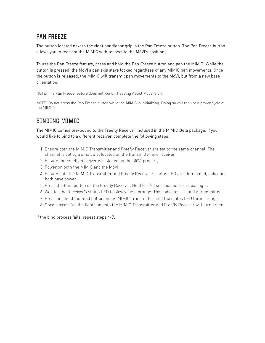## **PAN FREEZE**

The button located next to the right handlebar grip is the Pan Freeze button. The Pan Freeze button allows you to reorient the MIMIC with respect to the MōVI's position.

To use the Pan Freeze feature, press and hold the Pan Freeze button and pan the MIMIC. While the button is pressed, the MōVI's pan axis stays locked regardless of any MIMIC pan movements. Once the button is released, the MIMIC will transmit pan movements to the MōVI, but from a new base orientation.

NOTE: The Pan Freeze feature does not work if Heading Assist Mode is on.

NOTE: Do not press the Pan Freeze button while the MIMIC is initializing. Doing so will require a power cycle of the MIMIC.

# **BINDING MIMIC**

The MIMIC comes pre-bound to the Freefly Receiver included in the MIMIC Beta package. If you would like to bind to a different receiver, complete the following steps.

- 1. Ensure both the MIMIC Transmitter and Freefly Receiver are set to the same channel. The channel is set by a small dial located on the transmitter and receiver.
- 2. Ensure the Freefly Receiver is installed on the MōVI properly.
- 3. Power on both the MIMIC and the MōVI.
- 4. Ensure both the MIMIC Transmitter and Freefly Receiver's status LED are illuminated, indicating both have power.
- 5. Press the Bind button on the Freefly Receiver. Hold for 2-3 seconds before releasing it.
- 6. Wait for the Receiver's status LED to slowly flash orange. This indicates it found a transmitter.
- 7. Press and hold the Bind button on the MIMIC Transmitter until the status LED turns orange.
- 8. Once successful, the lights on both the MIMIC Transmitter and Freefly Receiver will turn green.

If the bind process fails, repeat steps 4-7.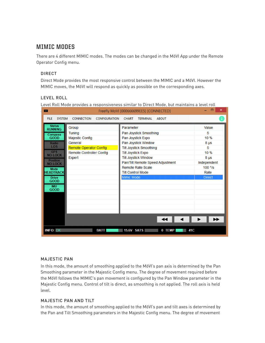### **MIMIC MODES**

There are 4 different MIMIC modes. The modes can be changed in the MōVI App under the Remote Operator Config menu.

#### DIRECT

Direct Mode provides the most responsive control between the MIMIC and a MōVI. However the MIMIC moves, the MōVI will respond as quickly as possible on the corresponding axes.

#### LEVEL ROLL

Level Roll Mode provides a responsiveness similar to Direct Mode, but maintains a level roll

| <b>NZ</b>                       |                                           | Freefly MoVI [000666699EE5] [CONNECTED]         | ▣<br>×        |
|---------------------------------|-------------------------------------------|-------------------------------------------------|---------------|
| <b>SYSTEM</b><br><b>FILE</b>    | <b>CONNECTION</b><br><b>CONFIGURATION</b> | <b>ABOUT</b><br><b>CHART</b><br><b>TERMINAL</b> |               |
| <b>Status</b><br><b>RUNNING</b> | Group                                     | Parameter                                       | Value         |
| Compass                         | <b>Tuning</b>                             | Pan Joystick Smoothing                          | 5             |
| <b>GOOD</b>                     | <b>Majestic Config</b>                    | Pan Joystick Expo                               | 10 %          |
| Radio                           | General                                   | Pan Joystick Window                             | $8 \mu s$     |
| <b>LOS</b>                      | <b>Remote Operator Config</b>             | <b>Tilt Joystick Smoothing</b>                  | 5             |
| <b>GPS</b><br><b>NO LOCK</b>    | <b>Remote Controller Config</b>           | <b>Tilt Joystick Expo</b>                       | 10 %          |
| <b>Position</b>                 | Expert                                    | <b>Tilt Joystick Window</b>                     | $8 \mu s$     |
| <b>NO LOCK</b>                  |                                           | Pan/Tilt Remote Speed Adjustment                | Independent   |
| <b>Mode</b>                     |                                           | Remote Rate Scale                               | $100°$ /s     |
| <b>HEADTRACK</b>                |                                           | <b>Tilt Control Mode</b>                        | Rate          |
| <b>Drive</b>                    |                                           | Mimic Mode                                      | <b>Direct</b> |
| <b>GOOD</b>                     |                                           |                                                 |               |
| <b>IMU</b><br><b>GOOD</b>       |                                           |                                                 |               |
|                                 |                                           |                                                 |               |
|                                 |                                           |                                                 |               |
|                                 |                                           |                                                 |               |
|                                 |                                           |                                                 |               |
|                                 |                                           |                                                 |               |
|                                 |                                           |                                                 |               |
| <b>INFO: OK</b>                 | <b>BATT</b>                               | <b>15.6V SATS</b><br>0 TEMP<br>41C              |               |

#### MAJESTIC PAN

In this mode, the amount of smoothing applied to the MōVI's pan axis is determined by the Pan Smoothing parameter in the Majestic Config menu. The degree of movement required before the MōVI follows the MIMIC's pan movement is configured by the Pan Window parameter in the Majestic Config menu. Control of tilt is direct, as smoothing is not applied. The roll axis is held level.

#### MAJESTIC PAN AND TILT

In this mode, the amount of smoothing applied to the MōVI's pan and tilt axes is determined by the Pan and Tilt Smoothing parameters in the Majestic Config menu. The degree of movement